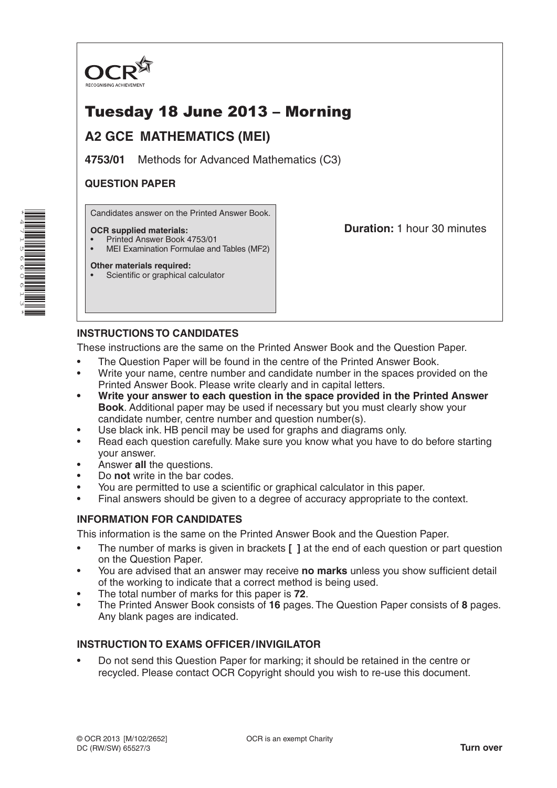

# Tuesday 18 June 2013 – Morning

## **A2 GCE MATHEMATICS (MEI)**

**4753/01** Methods for Advanced Mathematics (C3)

## **QUESTION PAPER**

Candidates answer on the Printed Answer Book.

#### **OCR supplied materials:**

- Printed Answer Book 4753/01
- MEI Examination Formulae and Tables (MF2)

### **Other materials required:**

Scientific or graphical calculator

**Duration:** 1 hour 30 minutes

## **INSTRUCTIONS TO CANDIDATES**

These instructions are the same on the Printed Answer Book and the Question Paper.

- The Question Paper will be found in the centre of the Printed Answer Book.
- Write your name, centre number and candidate number in the spaces provided on the Printed Answer Book. Please write clearly and in capital letters.
- **• Write your answer to each question in the space provided in the Printed Answer Book**. Additional paper may be used if necessary but you must clearly show your candidate number, centre number and question number(s).
- Use black ink. HB pencil may be used for graphs and diagrams only.
- Read each question carefully. Make sure you know what you have to do before starting your answer.
- Answer **all** the questions.
- Do **not** write in the bar codes.
- You are permitted to use a scientific or graphical calculator in this paper.
- Final answers should be given to a degree of accuracy appropriate to the context.

#### **INFORMATION FOR CANDIDATES**

This information is the same on the Printed Answer Book and the Question Paper.

- The number of marks is given in brackets **[ ]** at the end of each question or part question on the Question Paper.
- You are advised that an answer may receive **no marks** unless you show sufficient detail of the working to indicate that a correct method is being used.
- The total number of marks for this paper is **72**.
- The Printed Answer Book consists of **16** pages. The Question Paper consists of **8** pages. Any blank pages are indicated.

#### **INSTRUCTION TO EXAMS OFFICER/INVIGILATOR**

• Do not send this Question Paper for marking; it should be retained in the centre or recycled. Please contact OCR Copyright should you wish to re-use this document.

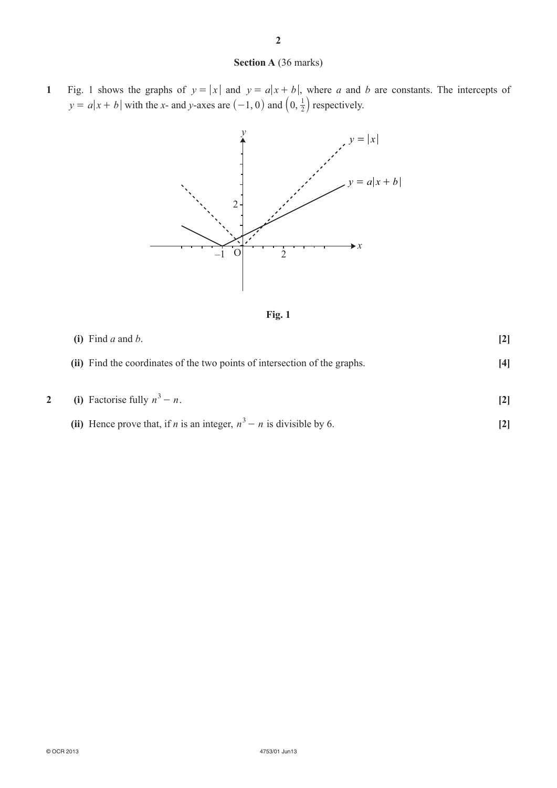#### **Section A** (36 marks)

**1** Fig. 1 shows the graphs of  $y = |x|$  and  $y = a|x + b|$ , where *a* and *b* are constants. The intercepts of  $y = a|x + b|$  with the *x*- and *y*-axes are  $(-1, 0)$  and  $(0, \frac{1}{2})$  respectively.





|                | (i) Find $a$ and $b$ .                                                         | $\mathbf{[2]}$ |
|----------------|--------------------------------------------------------------------------------|----------------|
|                | (ii) Find the coordinates of the two points of intersection of the graphs.     | [4]            |
| $\overline{2}$ | (i) Factorise fully $n^3 - n$ .                                                | $\mathbf{[2]}$ |
|                | (ii) Hence prove that, if <i>n</i> is an integer, $n^3 - n$ is divisible by 6. |                |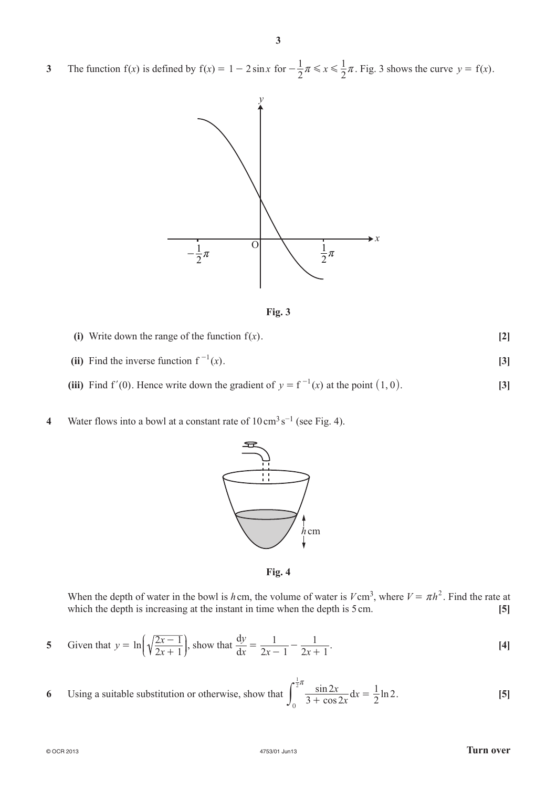**3** The function  $f(x)$  is defined by  $f(x) = 1 - 2 \sin x$  for  $-\frac{1}{2}\pi \le x$  $-\frac{1}{2}\pi \le x \le \frac{1}{2}\pi$ . Fig. 3 shows the curve  $y = f(x)$ .





- **(i)** Write down the range of the function  $f(x)$ . [2]
- (ii) Find the inverse function  $f^{-1}(x)$ . [3]

## (iii) Find f'(0). Hence write down the gradient of  $y = f^{-1}(x)$  at the point  $(1, 0)$ . [3]

**4** Water flows into a bowl at a constant rate of 10cm3 s−1 (see Fig. 4).



**Fig. 4**

When the depth of water in the bowl is *h* cm, the volume of water is  $V \text{cm}^3$ , where  $V = \pi h^2$ . Find the rate at which the depth is increasing at the instant in time when the depth is 5 cm. **[5]** 

5 Given that 
$$
y = \ln\left(\sqrt{\frac{2x-1}{2x+1}}\right)
$$
, show that  $\frac{dy}{dx} = \frac{1}{2x-1} - \frac{1}{2x+1}$ . [4]

**6** Using a suitable substitution or otherwise, show that *r*  $\frac{\sin 2x}{\cos 2x} dx = \frac{1}{2} \ln 2$  $\frac{\sin 2x}{3 + \cos 2x}$ dx  $\int_{0}^{\frac{1}{2}\pi} \frac{\sin 2x}{3 + \cos 2x} dx = \frac{1}{2}$  $\int_0^{2\pi} \frac{\sin 2x}{3 + \cos 2x} dx = \frac{1}{2} \ln 2.$  [5]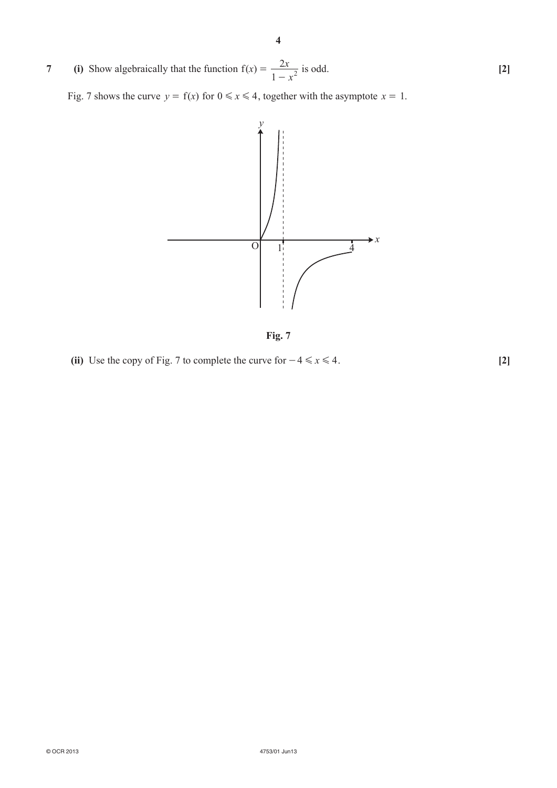**7 (i)** Show algebraically that the function  $f(x)$ *x x*  $f(x) = \frac{2x}{1 - x^2}$  is odd. **[2]** 

Fig. 7 shows the curve  $y = f(x)$  for  $0 \le x \le 4$ , together with the asymptote  $x = 1$ .





(ii) Use the copy of Fig. 7 to complete the curve for  $-4 \le x \le 4$ . [2]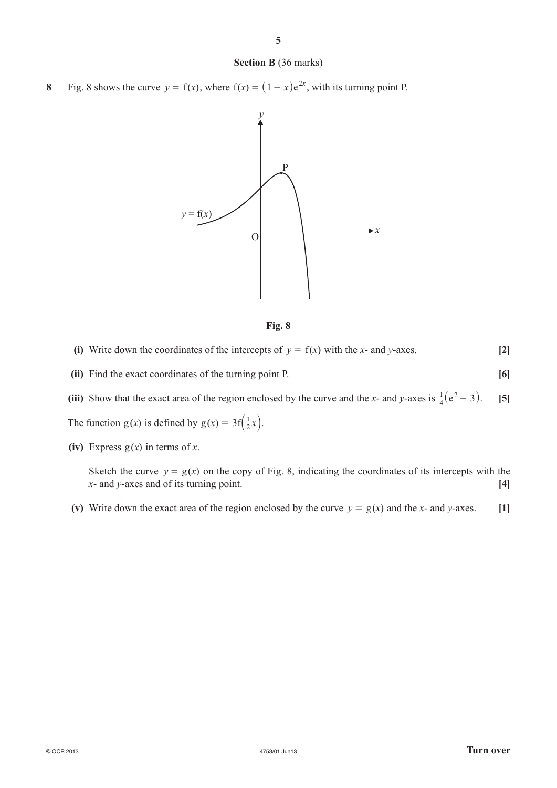#### **Section B** (36 marks)

**8** Fig. 8 shows the curve  $y = f(x)$ , where  $f(x) = (1 - x)e^{2x}$ , with its turning point P.





- (i) Write down the coordinates of the intercepts of  $y = f(x)$  with the *x* and *y*-axes. [2]
- **(ii)** Find the exact coordinates of the turning point P. **[6]**
- (iii) Show that the exact area of the region enclosed by the curve and the *x* and *y*-axes is  $\frac{1}{4}(e^2 3)$ . [5]
- The function  $g(x)$  is defined by  $g(x) = 3f(\frac{1}{2}x)$ .
- (iv) Express  $g(x)$  in terms of *x*.

Sketch the curve  $y = g(x)$  on the copy of Fig. 8, indicating the coordinates of its intercepts with the *x*- and *y*-axes and of its turning point. **[4]**

(v) Write down the exact area of the region enclosed by the curve  $y = g(x)$  and the *x*- and *y*-axes. [1]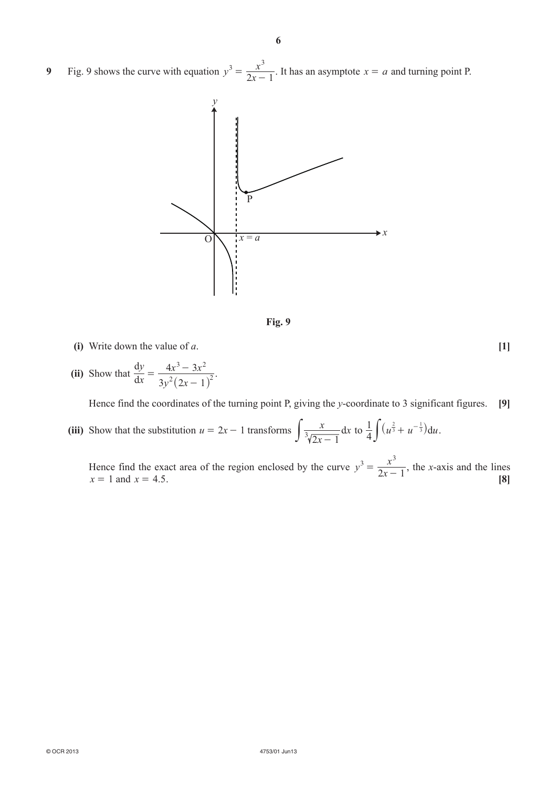**9** Fig. 9 shows the curve with equation  $y^3 = \frac{x}{2x}$ .  $2x - 1$  $x^3 = \frac{x^3}{2x - 1}$ . It has an asymptote  $x = a$  and turning point P.

**6**



**Fig. 9**

**(i)** Write down the value of *a*. **[1]**

(ii) Show that 
$$
\frac{dy}{dx} = \frac{4x^3 - 3x^2}{3y^2(2x - 1)^2}
$$
.

Hence find the coordinates of the turning point P, giving the *y*-coordinate to 3 significant figures. **[9]**

(iii) Show that the substitution  $u = 2x - 1$  transforms *x*  $\frac{x}{x}$  dx  $\int \frac{x}{\sqrt[3]{2x-1}} dx$  to  $\frac{1}{4} \int (u^{\frac{2}{3}} + u^{-\frac{1}{3}}) du$ .

Hence find the exact area of the region enclosed by the curve  $y^3 = \frac{x}{2x}$  $2x - 1$ Hence find the exact area of the region enclosed by the curve  $y^3 = \frac{x^3}{2x - 1}$ , the *x*-axis and the lines  $x = 1$  and  $x = 4.5$ . [8]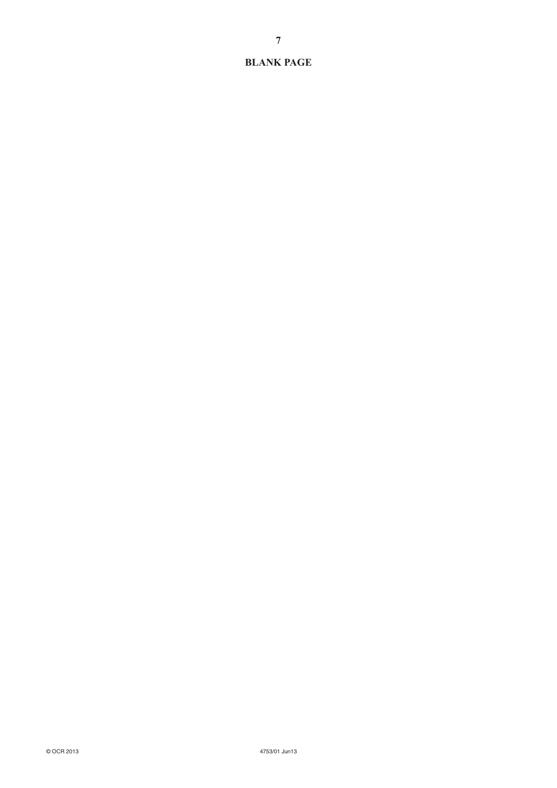#### **BLANK PAGE**